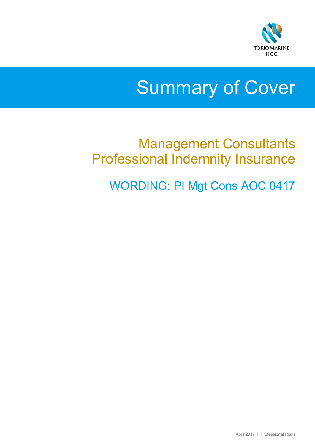

# Summary of Cover

# Management Consultants Professional Indemnity Insurance

WORDING: PI Mgt Cons AOC 0417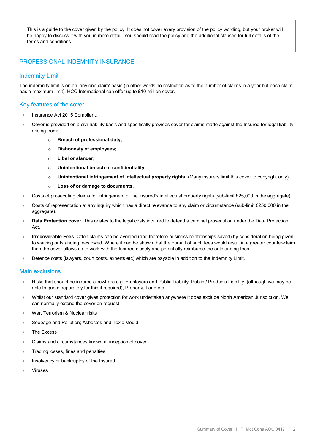This is a guide to the cover given by the policy. It does not cover every provision of the policy wording, but your broker will be happy to discuss it with you in more detail. You should read the policy and the additional clauses for full details of the terms and conditions.

## PROFESSIONAL INDEMNITY INSURANCE

### Indemnity Limit

The indemnity limit is on an 'any one claim' basis (in other words no restriction as to the number of claims in a year but each claim has a maximum limit). HCC International can offer up to £10 million cover.

### Key features of the cover

- Insurance Act 2015 Compliant.
- Cover is provided on a civil liability basis and specifically provides cover for claims made against the Insured for legal liability arising from:
	- o **Breach of professional duty;**
	- o **Dishonesty of employees;**
	- o **Libel or slander;**
	- o **Unintentional breach of confidentiality;**
	- o **Unintentional infringement of intellectual property rights.** (Many insurers limit this cover to copyright only);
	- o **Loss of or damage to documents.**
- Costs of prosecuting claims for infringement of the Insured's intellectual property rights (sub-limit £25,000 in the aggregate).
- Costs of representation at any inquiry which has a direct relevance to any claim or circumstance (sub-limit £250,000 in the aggregate).
- **Data Protection cover**. This relates to the legal costs incurred to defend a criminal prosecution under the Data Protection Act.
- **Irrecoverable Fees**. Often claims can be avoided (and therefore business relationships saved) by consideration being given to waiving outstanding fees owed. Where it can be shown that the pursuit of such fees would result in a greater counter-claim then the cover allows us to work with the Insured closely and potentially reimburse the outstanding fees.
- Defence costs (lawyers, court costs, experts etc) which are payable in addition to the Indemnity Limit.

#### Main exclusions

- Risks that should be insured elsewhere e.g. Employers and Public Liability, Public / Products Liability, (although we may be able to quote separately for this if required), Property, Land etc
- Whilst our standard cover gives protection for work undertaken anywhere it does exclude North American Jurisdiction. We can normally extend the cover on request
- War, Terrorism & Nuclear risks
- Seepage and Pollution: Asbestos and Toxic Mould
- The Excess
- Claims and circumstances known at inception of cover
- Trading losses, fines and penalties
- Insolvency or bankruptcy of the Insured
- **Viruses**